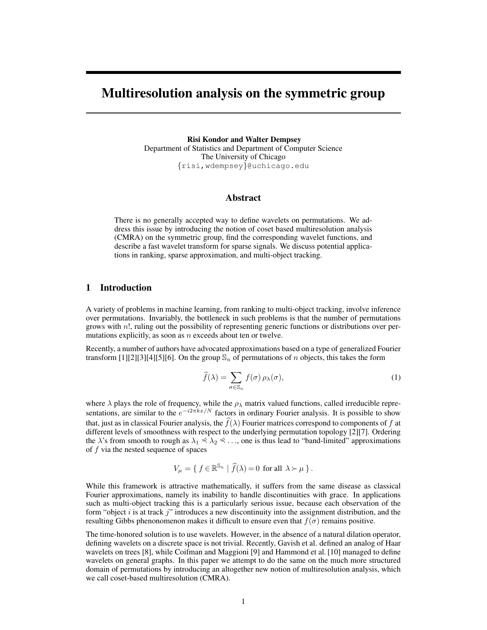# Multiresolution analysis on the symmetric group

Risi Kondor and Walter Dempsey Department of Statistics and Department of Computer Science The University of Chicago {risi,wdempsey}@uchicago.edu

# Abstract

There is no generally accepted way to define wavelets on permutations. We address this issue by introducing the notion of coset based multiresolution analysis (CMRA) on the symmetric group, find the corresponding wavelet functions, and describe a fast wavelet transform for sparse signals. We discuss potential applications in ranking, sparse approximation, and multi-object tracking.

# 1 Introduction

A variety of problems in machine learning, from ranking to multi-object tracking, involve inference over permutations. Invariably, the bottleneck in such problems is that the number of permutations grows with n!, ruling out the possibility of representing generic functions or distributions over permutations explicitly, as soon as  $n$  exceeds about ten or twelve.

Recently, a number of authors have advocated approximations based on a type of generalized Fourier transform [1][2][3][4][5][6]. On the group  $\mathbb{S}_n$  of permutations of n objects, this takes the form

$$
\widehat{f}(\lambda) = \sum_{\sigma \in \mathbb{S}_n} f(\sigma) \, \rho_\lambda(\sigma),\tag{1}
$$

where  $\lambda$  plays the role of frequency, while the  $\rho_{\lambda}$  matrix valued functions, called irreducible representations, are similar to the  $e^{-i2\pi kx/N}$  factors in ordinary Fourier analysis. It is possible to show that, just as in classical Fourier analysis, the  $f(\lambda)$  Fourier matrices correspond to components of f at different levels of smoothness with respect to the underlying permutation topology [2][7]. Ordering the  $\lambda$ 's from smooth to rough as  $\lambda_1 \leq \lambda_2 \leq \ldots$ , one is thus lead to "band-limited" approximations of  $f$  via the nested sequence of spaces

$$
V_{\mu} = \{ f \in \mathbb{R}^{\mathbb{S}_n} \mid \widehat{f}(\lambda) = 0 \text{ for all } \lambda \succ \mu \}.
$$

While this framework is attractive mathematically, it suffers from the same disease as classical Fourier approximations, namely its inability to handle discontinuities with grace. In applications such as multi-object tracking this is a particularly serious issue, because each observation of the form "object  $i$  is at track  $j$ " introduces a new discontinuity into the assignment distribution, and the resulting Gibbs phenonomenon makes it difficult to ensure even that  $f(\sigma)$  remains positive.

The time-honored solution is to use wavelets. However, in the absence of a natural dilation operator, defining wavelets on a discrete space is not trivial. Recently, Gavish et al. defined an analog of Haar wavelets on trees [8], while Coifman and Maggioni [9] and Hammond et al. [10] managed to define wavelets on general graphs. In this paper we attempt to do the same on the much more structured domain of permutations by introducing an altogether new notion of multiresolution analysis, which we call coset-based multiresolution (CMRA).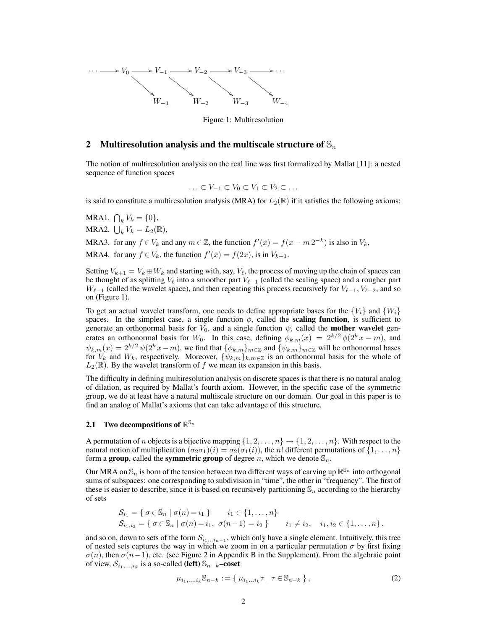

Figure 1: Multiresolution

# 2 Multiresolution analysis and the multiscale structure of  $\mathbb{S}_n$

The notion of multiresolution analysis on the real line was first formalized by Mallat [11]: a nested sequence of function spaces

$$
\ldots \subset V_{-1} \subset V_0 \subset V_1 \subset V_2 \subset \ldots
$$

is said to constitute a multiresolution analysis (MRA) for  $L_2(\mathbb{R})$  if it satisfies the following axioms:

MRA1.  $\bigcap_k V_k = \{0\},\,$ MRA2.  $\bigcup_k V_k = L_2(\mathbb{R}),$ 

MRA3. for any  $f \in V_k$  and any  $m \in \mathbb{Z}$ , the function  $f'(x) = f(x - m 2^{-k})$  is also in  $V_k$ , MRA4. for any  $f \in V_k$ , the function  $f'(x) = f(2x)$ , is in  $V_{k+1}$ .

Setting  $V_{k+1} = V_k \oplus W_k$  and starting with, say,  $V_\ell$ , the process of moving up the chain of spaces can be thought of as splitting  $V_\ell$  into a smoother part  $V_{\ell-1}$  (called the scaling space) and a rougher part  $W_{\ell-1}$  (called the wavelet space), and then repeating this process recursively for  $V_{\ell-1}$ ,  $V_{\ell-2}$ , and so on (Figure 1).

To get an actual wavelet transform, one needs to define appropriate bases for the  $\{V_i\}$  and  $\{W_i\}$ spaces. In the simplest case, a single function  $\phi$ , called the **scaling function**, is sufficient to generate an orthonormal basis for  $V_0$ , and a single function  $\psi$ , called the **mother wavelet** generates an orthonormal basis for W<sub>0</sub>. In this case, defining  $\phi_{k,m}(x) = 2^{k/2} \phi(2^k x - m)$ , and  $\psi_{k,m}(x) = 2^{k/2} \psi(2^k x - m)$ , we find that  $\{\phi_{k,m}\}_{m \in \mathbb{Z}}$  and  $\{\psi_{k,m}\}_{m \in \mathbb{Z}}$  will be orthonormal bases for  $V_k$  and  $W_k$ , respectively. Moreover,  $\{\psi_{k,m}\}_{k,m\in\mathbb{Z}}$  is an orthonormal basis for the whole of  $L_2(\mathbb{R})$ . By the wavelet transform of f we mean its expansion in this basis.

The difficulty in defining multiresolution analysis on discrete spaces is that there is no natural analog of dilation, as required by Mallat's fourth axiom. However, in the specific case of the symmetric group, we do at least have a natural multiscale structure on our domain. Our goal in this paper is to find an analog of Mallat's axioms that can take advantage of this structure.

# 2.1 Two decompositions of  $\mathbb{R}^{\mathbb{S}_n}$

A permutation of *n* objects is a bijective mapping  $\{1, 2, \ldots, n\} \rightarrow \{1, 2, \ldots, n\}$ . With respect to the natural notion of multiplication  $(\sigma_2 \sigma_1)(i) = \sigma_2(\sigma_1(i))$ , the n! different permutations of  $\{1, \ldots, n\}$ form a group, called the symmetric group of degree n, which we denote  $\mathbb{S}_n$ .

Our MRA on  $\mathbb{S}_n$  is born of the tension between two different ways of carving up  $\mathbb{R}^{\mathbb{S}_n}$  into orthogonal sums of subspaces: one corresponding to subdivision in "time", the other in "frequency". The first of these is easier to describe, since it is based on recursively partitioning  $\mathbb{S}_n$  according to the hierarchy of sets

$$
S_{i_1} = \{ \sigma \in \mathbb{S}_n \mid \sigma(n) = i_1 \} \qquad i_1 \in \{1, ..., n\}
$$
  
\n
$$
S_{i_1, i_2} = \{ \sigma \in \mathbb{S}_n \mid \sigma(n) = i_1, \sigma(n-1) = i_2 \} \qquad i_1 \neq i_2, \quad i_1, i_2 \in \{1, ..., n\},
$$

and so on, down to sets of the form  $S_{i_1...i_{n-1}}$ , which only have a single element. Intuitively, this tree of nested sets captures the way in which we zoom in on a particular permutation  $\sigma$  by first fixing  $\sigma(n)$ , then  $\sigma(n-1)$ , etc. (see Figure 2 in Appendix B in the Supplement). From the algebraic point of view,  $S_{i_1,...,i_k}$  is a so-called (left)  $\mathbb{S}_{n-k}$ –coset

$$
\mu_{i_1,\dots,i_k} \mathbb{S}_{n-k} := \{ \mu_{i_1\dots i_k} \tau \mid \tau \in \mathbb{S}_{n-k} \},
$$
\n(2)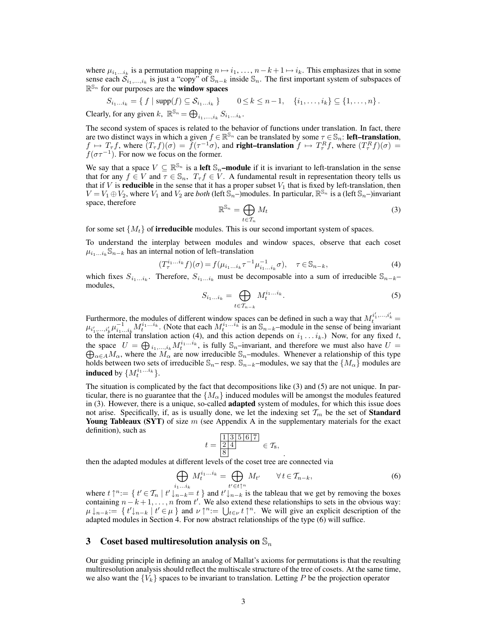where  $\mu_{i_1...i_k}$  is a permutation mapping  $n \mapsto i_1, ..., n-k+1 \mapsto i_k$ . This emphasizes that in some sense each  $S_{i_1,...,i_k}$  is just a "copy" of  $\mathbb{S}_{n-k}$  inside  $\mathbb{S}_n$ . The first important system of subspaces of  $\mathbb{R}^{\mathbb{S}_n}$  for our purposes are the **window spaces** 

 $S_{i_1...i_k} = \{ f | \text{supp}(f) \subseteq S_{i_1...i_k} \}$   $0 \le k \le n-1, \quad \{i_1,...,i_k\} \subseteq \{1,...,n\}$ . Clearly, for any given k,  $\mathbb{R}^{\mathbb{S}_n} = \bigoplus_{i_1,\dots,i_k} S_{i_1\dots i_k}$ .

The second system of spaces is related to the behavior of functions under translation. In fact, there are two distinct ways in which a given  $f \in \mathbb{R}^{\mathbb{S}_n}$  can be translated by some  $\tau \in \mathbb{S}_n$ : **left–translation**,  $f \mapsto T_{\tau}f$ , where  $(T_{\tau}f)(\sigma) = \tilde{f}(\tau^{-1}\sigma)$ , and **right-translation**  $f \mapsto T_{\tau}^Rf$ , where  $(T_{\tau}^Rf)(\sigma) =$  $f(\sigma \tau^{-1})$ . For now we focus on the former.

We say that a space  $V \subseteq \mathbb{R}^{\mathbb{S}_n}$  is a left  $\mathbb{S}_n$ -module if it is invariant to left-translation in the sense that for any  $f \in V$  and  $\overline{\tau} \in \mathbb{S}_n$ ,  $T_{\tau} f \in V$ . A fundamental result in representation theory tells us that if V is **reducible** in the sense that it has a proper subset  $V_1$  that is fixed by left-translation, then  $V = V_1 \oplus V_2$ , where  $V_1$  and  $V_2$  are *both* (left  $\mathbb{S}_n$ –)modules. In particular,  $\mathbb{R}^{\mathbb{S}_n}$  is a (left  $\mathbb{S}_n$ –)invariant space, therefore

$$
\mathbb{R}^{\mathbb{S}_n} = \bigoplus_{t \in \mathcal{T}_n} M_t \tag{3}
$$

for some set  $\{M_t\}$  of **irreducible** modules. This is our second important system of spaces.

To understand the interplay between modules and window spaces, observe that each coset  $\mu_{i_1...i_k}$  S<sub>n−k</sub> has an internal notion of left–translation

$$
(T_{\tau}^{i_1...i_k} f)(\sigma) = f(\mu_{i_1...i_k} \tau^{-1} \mu_{i_1...i_k}^{-1} \sigma), \quad \tau \in \mathbb{S}_{n-k},
$$
\n(4)

which fixes  $S_{i_1...i_k}$ . Therefore,  $S_{i_1...i_k}$  must be decomposable into a sum of irreducible  $\mathbb{S}_{n-k}$ modules,

$$
S_{i_1\ldots i_k} = \bigoplus_{t \in \mathcal{T}_{n-k}} M_t^{i_1\ldots i_k}.
$$
 (5)

Furthermore, the modules of different window spaces can be defined in such a way that  $M_t^{i'_1,...,i'_k}$  =  $\mu_{i_1,\dots,i_k'}\mu_{i_1\dots i_k}^{-1}M_t^{i_1\dots i_k}$ . (Note that each  $M_t^{i_1\dots i_k}$  is an  $\mathbb{S}_{n-k}$ –module in the sense of being invariant to the internal translation action (4), and this action depends on  $i_1 \dots i_k$ .) Now, for any fixed t, the space  $U = \bigoplus_{i_1,\dots,i_k} M_t^{i_1\dots i_k}$ , is fully  $\mathbb{S}_n$ –invariant, and therefore we must also have  $U = \bigoplus_{\alpha \in A} M_\alpha$ , where the  $M_\alpha$  are now irreducible  $\mathbb{S}_n$ –modules. Whenever a relationship of this type  $\alpha \in AM_\alpha$ , where the  $M_\alpha$  are now irreducible S<sub>n</sub>–modules. Whenever a relationship of this type holds between two sets of irreducible  $\mathbb{S}_n$ – resp.  $\mathbb{S}_{n-k}$ –modules, we say that the  $\{M_\alpha\}$  modules are **induced** by  $\{M_t^{i_1...i_k}\}.$ 

The situation is complicated by the fact that decompositions like (3) and (5) are not unique. In particular, there is no guarantee that the  $\{M_{\alpha}\}\$ induced modules will be amongst the modules featured in (3). However, there is a unique, so-called **adapted** system of modules, for which this issue does not arise. Specifically, if, as is usually done, we let the indexing set  $\mathcal{T}_m$  be the set of **Standard Young Tableaux (SYT)** of size  $m$  (see Appendix A in the supplementary materials for the exact definition), such as

$$
t = \frac{\frac{1}{3} \cdot 5 \cdot 6 \cdot 7}{8} \in \mathcal{T}_8,
$$

then the adapted modules at different levels of the coset tree are connected via

$$
\bigoplus_{i_1...i_k} M_t^{i_1...i_k} = \bigoplus_{t' \in t\uparrow^n} M_{t'} \qquad \forall \, t \in \mathcal{T}_{n-k},\tag{6}
$$

.

where  $t \uparrow^n := \{ t' \in \mathcal{T}_n \mid t' \downarrow_{n-k} = t \}$  and  $t' \downarrow_{n-k}$  is the tableau that we get by removing the boxes containing  $n-k+1, \ldots, n$  from t'. We also extend these relationships to sets in the obvious way:  $\mu\downarrow_{n-k}:=\{t'\downarrow_{n-k} | t'\in\mu\}$  and  $\nu\uparrow^n:=\bigcup_{t\in\nu}t\uparrow^n$ . We will give an explicit description of the adapted modules in Section 4. For now abstract relationships of the type (6) will suffice.

# 3 Coset based multiresolution analysis on  $\mathbb{S}_n$

Our guiding principle in defining an analog of Mallat's axioms for permutations is that the resulting multiresolution analysis should reflect the multiscale structure of the tree of cosets. At the same time, we also want the  $\{V_k\}$  spaces to be invariant to translation. Letting P be the projection operator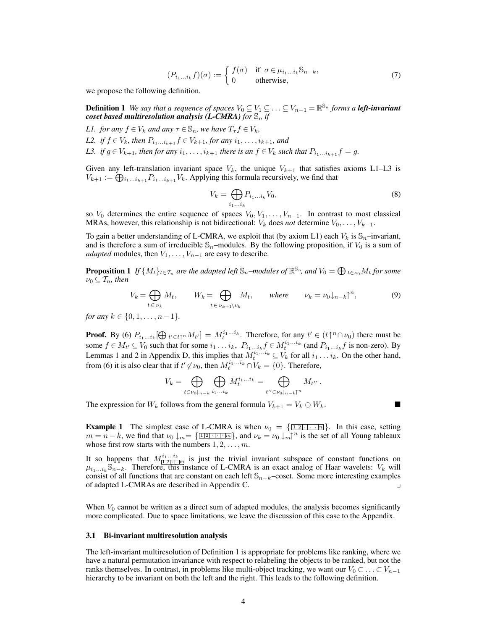$$
(P_{i_1...i_k}f)(\sigma) := \begin{cases} f(\sigma) & \text{if } \sigma \in \mu_{i_1...i_k} \mathbb{S}_{n-k}, \\ 0 & \text{otherwise}, \end{cases}
$$
 (7)

we propose the following definition.

**Definition 1** We say that a sequence of spaces  $V_0 \subseteq V_1 \subseteq \ldots \subseteq V_{n-1} = \mathbb{R}^{\mathbb{S}_n}$  forms a **left-invariant** *coset based multiresolution analysis (L-CMRA) for*  $\mathbb{S}_n$  *if* 

*L1. for any*  $f \in V_k$  *and any*  $\tau \in \mathbb{S}_n$ *, we have*  $T_{\tau} f \in V_k$ *,* 

*L2. if*  $f \in V_k$ *, then*  $P_{i_1...i_{k+1}} f \in V_{k+1}$ *, for any*  $i_1, ..., i_{k+1}$ *, and* 

*L3. if*  $g \in V_{k+1}$ *, then for any*  $i_1, \ldots, i_{k+1}$  *there is an*  $f \in V_k$  *such that*  $P_{i_1...i_{k+1}}f = g$ *.* 

Given any left-translation invariant space  $V_k$ , the unique  $V_{k+1}$  that satisfies axioms L1–L3 is  $V_{k+1} := \bigoplus_{i_1...i_{k+1}} P_{i_1...i_{k+1}} V_k$ . Applying this formula recursively, we find that

$$
V_k = \bigoplus_{i_1...i_k} P_{i_1...i_k} V_0,\tag{8}
$$

so  $V_0$  determines the entire sequence of spaces  $V_0, V_1, \ldots, V_{n-1}$ . In contrast to most classical MRAs, however, this relationship is not bidirectional:  $V_k$  does *not* determine  $V_0, \ldots, V_{k-1}$ .

To gain a better understanding of L-CMRA, we exploit that (by axiom L1) each  $V_k$  is  $\mathbb{S}_n$ –invariant, and is therefore a sum of irreducible  $\mathbb{S}_n$ –modules. By the following proposition, if  $V_0$  is a sum of *adapted* modules, then  $V_1, \ldots, V_{n-1}$  are easy to describe.

**Proposition 1** If  $\{M_t\}_{t\in\mathcal{T}_n}$  are the adapted left  $\mathbb{S}_n$ –modules of  $\mathbb{R}^{\mathbb{S}_n}$ , and  $V_0=\bigoplus_{t\in\mathcal{V}_0}M_t$  for some  $\nu_0 \subseteq T_n$ , then

$$
V_k = \bigoplus_{t \in \nu_k} M_t, \qquad W_k = \bigoplus_{t \in \nu_{k+1} \setminus \nu_k} M_t, \qquad \text{where} \qquad \nu_k = \nu_0 \downarrow_{n-k} \uparrow^n, \tag{9}
$$

*for any*  $k \in \{0, 1, \ldots, n-1\}$ .

**Proof.** By (6)  $P_{i_1...i_k}[\bigoplus_{t' \in t\uparrow^n} M_{t'}] = M_t^{i_1...i_k}$ . Therefore, for any  $t' \in (t\uparrow^n \cap \nu_0)$  there must be some  $f \in M_{t'} \subseteq V_0$  such that for some  $i_1 \ldots i_k$ ,  $P_{i_1 \ldots i_k} f \in M_t^{i_1 \ldots i_k}$  (and  $P_{i_1 \ldots i_k} f$  is non-zero). By Lemmas 1 and 2 in Appendix D, this implies that  $M_t^{i_1...i_k} \subseteq V_k$  for all  $i_1...i_k$ . On the other hand, from (6) it is also clear that if  $t' \notin \nu_0$ , then  $M_t^{i_1...i_k} \cap V_k = \{0\}$ . Therefore,

$$
V_k = \bigoplus_{t \in \nu_0 \downarrow_{n-k}} \bigoplus_{i_1 \ldots i_k} M_t^{i_1 \ldots i_k} = \bigoplus_{t'' \in \nu_0 \downarrow_{n-k} \uparrow^n} M_{t''}.
$$

The expression for  $W_k$  follows from the general formula  $V_{k+1} = V_k \oplus W_k$ .

**Example 1** The simplest case of L-CMRA is when  $\nu_0 = {\frac{\boxed{12! \cdot \cdots \cdot \boxed{n}}}{\cdots}}$ . In this case, setting  $m = n - k$ , we find that  $\nu_0 \downarrow_m = {\text{min} \atop 1 \le j \le k}$ , and  $\nu_k = \nu_0 \downarrow_m \uparrow^n$  is the set of all Young tableaux whose first row starts with the numbers  $1, 2, \ldots, m$ .

It so happens that  $M_{\boxed{121+|m|}}^{i_1...i_k}$  is just the trivial invariant subspace of constant functions on  $\mu_{i_1...i_k}$  S<sub>n−k</sub>. Therefore, this instance of L-CMRA is an exact analog of Haar wavelets:  $V_k$  will consist of all functions that are constant on each left  $\mathbb{S}_{n-k}$ –coset. Some more interesting examples of adapted L-CMRAs are described in Appendix C. y

When  $V_0$  cannot be written as a direct sum of adapted modules, the analysis becomes significantly more complicated. Due to space limitations, we leave the discussion of this case to the Appendix.

### 3.1 Bi-invariant multiresolution analysis

The left-invariant multiresolution of Definition 1 is appropriate for problems like ranking, where we have a natural permutation invariance with respect to relabeling the objects to be ranked, but not the ranks themselves. In contrast, in problems like multi-object tracking, we want our  $V_0 \subset \ldots \subset V_{n-1}$ hierarchy to be invariant on both the left and the right. This leads to the following definition.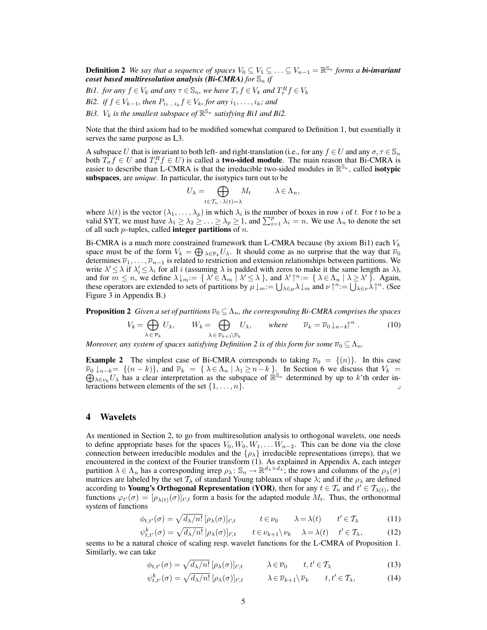**Definition 2** We say that a sequence of spaces  $V_0 \subseteq V_1 \subseteq \ldots \subseteq V_{n-1} = \mathbb{R}^{\mathbb{S}_n}$  forms a **bi-invariant** *coset based multiresolution analysis (Bi-CMRA) for*  $\mathbb{S}_n$  *if* 

- *Bi1. for any*  $f \in V_k$  *and any*  $\tau \in \mathbb{S}_n$ *, we have*  $T_{\tau} f \in V_k$  *and*  $T_{\tau}^R f \in V_k$
- *Bi2. if*  $f \in V_{k-1}$ *, then*  $P_{i_1...i_k} f \in V_k$ *, for any*  $i_1, ..., i_k$ *; and*
- Bi3.  $V_k$  is the smallest subspace of  $\mathbb{R}^{\mathbb{S}_n}$  satisfying Bi1 and Bi2.

Note that the third axiom had to be modified somewhat compared to Definition 1, but essentially it serves the same purpose as L3.

A subspace U that is invariant to both left- and right-translation (i.e., for any  $f \in U$  and any  $\sigma, \tau \in \mathbb{S}_n$ ) both  $T_{\sigma} f \in U$  and  $T_{\tau}^R f \in U$ ) is called a **two-sided module**. The main reason that Bi-CMRA is easier to describe than L-CMRA is that the irreducible two-sided modules in  $\mathbb{R}^{\mathbb{S}_n}$ , called **isotypic** subspaces, are *unique*. In particular, the isotypics turn out to be

$$
U_{\lambda} = \bigoplus_{t \in \mathcal{T}_n \,:\, \lambda(t) = \lambda} M_t \qquad \lambda \in \Lambda_n,
$$

where  $\lambda(t)$  is the vector  $(\lambda_1,\ldots,\lambda_p)$  in which  $\lambda_i$  is the number of boxes in row i of t. For t to be a valid SYT, we must have  $\lambda_1 \geq \lambda_2 \geq \ldots \geq \lambda_p \geq 1$ , and  $\sum_{i=1}^p \lambda_i = n$ . We use  $\Lambda_n$  to denote the set of all such  $p$ –tuples, called **integer partitions** of  $n$ .

Bi-CMRA is a much more constrained framework than L-CMRA because (by axiom Bi1) each  $V_k$ space must be of the form  $V_k = \bigoplus_{\lambda \in \overline{\nu}_k} U_\lambda$ . It should come as no surprise that the way that  $\overline{\nu}_0$ determines  $\overline{\nu}_1, \ldots, \overline{\nu}_{n-1}$  is related to restriction and extension relationships between partitions. We write  $\lambda' \leq \lambda$  if  $\lambda'_i \leq \lambda_i$  for all i (assuming  $\lambda$  is padded with zeros to make it the same length as  $\lambda$ ), and for  $m \leq n$ , we define  $\lambda \downarrow_m := \{ \lambda' \in \Lambda_m \mid \lambda' \leq \lambda \}$ , and  $\lambda' \uparrow^n := \{ \lambda \in \Lambda_n \mid \lambda \geq \lambda' \}$ . Again, these operators are extended to sets of partitions by  $\mu \downarrow_m := \bigcup_{\lambda \in \mu} \lambda \downarrow_m$  and  $\nu \uparrow^n := \bigcup_{\lambda \in \nu} \lambda \uparrow^n$ . (See Figure 3 in Appendix B.)

**Proposition 2** *Given a set of partitions*  $\overline{\nu}_0 \subseteq \Lambda_n$ *, the corresponding Bi-CMRA comprises the spaces* 

$$
V_k = \bigoplus_{\lambda \in \overline{\nu}_k} U_{\lambda}, \qquad W_k = \bigoplus_{\lambda \in \overline{\nu}_{k+1} \setminus \overline{\nu}_k} U_{\lambda}, \qquad \text{where} \qquad \overline{\nu}_k = \overline{\nu}_0 \downarrow_{n-k} \uparrow^n. \tag{10}
$$

*Moreover, any system of spaces satisfying Definition 2 is of this form for some*  $\overline{\nu}_0 \subseteq \Lambda_n$ .

**Example 2** The simplest case of Bi-CMRA corresponds to taking  $\overline{v}_0 = \{(n)\}\$ . In this case  $\overline{\nu}_0 \downarrow_{n-k} = \{(n-k)\}\$ , and  $\overline{\nu}_k = \{\lambda \in \Lambda_n \mid \lambda_1 \ge n-k\}$ . In Section 6 we discuss that  $V_k = \bigoplus_{\lambda \in \nu_k} U_\lambda$  has a clear interpretation as the subspace of  $\mathbb{R}^{\mathbb{S}_n}$  determined by up to k'th order interactions between elements of the set  $\{1, \ldots, n\}$ .

### 4 Wavelets

As mentioned in Section 2, to go from multiresolution analysis to orthogonal wavelets, one needs to define appropriate bases for the spaces  $V_0, W_0, W_1, \ldots W_{n-2}$ . This can be done via the close connection between irreducible modules and the  $\{\rho_{\lambda}\}\$  irreducible representations (irreps), that we encountered in the context of the Fourier transform (1). As explained in Appendix A, each integer partition  $\lambda \in \Lambda_n$  has a corresponding irrep  $\rho_\lambda \colon \mathbb{S}_n \to \mathbb{R}^{d_\lambda \times d_\lambda}$ ; the rows and columns of the  $\rho_\lambda(\sigma)$ matrices are labeled by the set  $T_{\lambda}$  of standard Young tableaux of shape  $\lambda$ ; and if the  $\rho_{\lambda}$  are defined according to **Young's Orthogonal Representation (YOR)**, then for any  $t \in \mathcal{T}_n$  and  $t' \in \mathcal{T}_{\lambda(t)}$ , the functions  $\varphi_{t'}(\sigma) = [\rho_{\lambda(t)}(\sigma)]_{t',t}$  form a basis for the adapted module  $M_t$ . Thus, the orthonormal system of functions

$$
\phi_{t,t'}(\sigma) = \sqrt{d_{\lambda}/n!} \left[ \rho_{\lambda}(\sigma) \right]_{t',t} \qquad t \in \nu_0 \qquad \lambda = \lambda(t) \qquad t' \in \mathcal{T}_{\lambda} \tag{11}
$$

$$
\psi_{t,t'}^k(\sigma) = \sqrt{d_{\lambda}/n!} \left[ \rho_{\lambda}(\sigma) \right]_{t',t} \qquad t \in \nu_{k+1} \setminus \nu_k \qquad \lambda = \lambda(t) \qquad t' \in \mathcal{T}_{\lambda}, \tag{12}
$$

seems to be a natural choice of scaling resp. wavelet functions for the L-CMRA of Proposition 1. Similarly, we can take

$$
\phi_{t,t'}(\sigma) = \sqrt{d_{\lambda}/n!} \, [\rho_{\lambda}(\sigma)]_{t',t} \qquad \lambda \in \overline{\nu}_0 \qquad t, t' \in \mathcal{T}_{\lambda} \tag{13}
$$

$$
\psi_{t,t'}^k(\sigma) = \sqrt{d_{\lambda}/n!} \left[ \rho_{\lambda}(\sigma) \right]_{t',t} \qquad \lambda \in \overline{\nu}_{k+1} \setminus \overline{\nu}_k \qquad t, t' \in \mathcal{T}_{\lambda}, \tag{14}
$$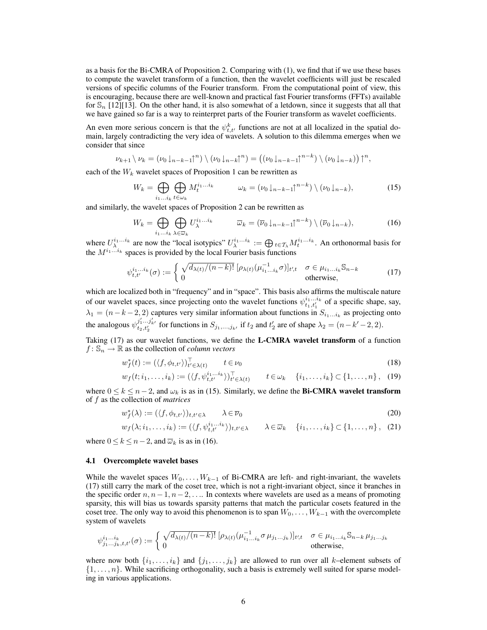as a basis for the Bi-CMRA of Proposition 2. Comparing with (1), we find that if we use these bases to compute the wavelet transform of a function, then the wavelet coefficients will just be rescaled versions of specific columns of the Fourier transform. From the computational point of view, this is encouraging, because there are well-known and practical fast Fourier transforms (FFTs) available for  $\mathbb{S}_n$  [12][13]. On the other hand, it is also somewhat of a letdown, since it suggests that all that we have gained so far is a way to reinterpret parts of the Fourier transform as wavelet coefficients.

An even more serious concern is that the  $\psi_{t,t'}^k$  functions are not at all localized in the spatial domain, largely contradicting the very idea of wavelets. A solution to this dilemma emerges when we consider that since

$$
\nu_{k+1} \setminus \nu_k = (\nu_0 \downarrow_{n-k-1} \uparrow^n) \setminus (\nu_0 \downarrow_{n-k} \uparrow^n) = ((\nu_0 \downarrow_{n-k-1} \uparrow^{n-k}) \setminus (\nu_0 \downarrow_{n-k})) \uparrow^n,
$$

each of the  $W_k$  wavelet spaces of Proposition 1 can be rewritten as

$$
W_k = \bigoplus_{i_1 \dots i_k} \bigoplus_{t \in \omega_k} M_t^{i_1 \dots i_k} \qquad \omega_k = (\nu_0 \downarrow_{n-k-1} \uparrow^{n-k}) \setminus (\nu_0 \downarrow_{n-k}), \tag{15}
$$

and similarly, the wavelet spaces of Proposition 2 can be rewritten as

$$
W_k = \bigoplus_{i_1...i_k} \bigoplus_{\lambda \in \overline{\omega}_k} U_{\lambda}^{i_1...i_k} \qquad \overline{\omega}_k = (\overline{\nu}_0 \downarrow_{n-k-1} \uparrow^{n-k}) \setminus (\overline{\nu}_0 \downarrow_{n-k}), \tag{16}
$$

where  $U_{\lambda}^{i_1...i_k}$  are now the "local isotypics"  $U_{\lambda}^{i_1...i_k} := \bigoplus_{t \in \mathcal{T}_{\lambda}} M_t^{i_1...i_k}$ . An orthonormal basis for the  $M^{i_1...i_k}$  spaces is provided by the local Fourier basis functions

$$
\psi_{t,t'}^{i_1...i_k}(\sigma) := \begin{cases} \sqrt{d_{\lambda(t)}/(n-k)!} \left[ \rho_{\lambda(t)}(\mu_{i_1...i_k}^{-1}\sigma) \right]_{t',t} & \sigma \in \mu_{i_1...i_k} \mathbb{S}_{n-k} \\ 0 & \text{otherwise,} \end{cases}
$$
(17)

which are localized both in "frequency" and in "space". This basis also affirms the multiscale nature of our wavelet spaces, since projecting onto the wavelet functions  $\psi_{t_1,t'_1}^{i_1...i_k}$  of a specific shape, say,  $\lambda_1 = (n-k-2, 2)$  captures very similar information about functions in  $S_{i_1...i_k}$  as projecting onto the analogous  $\psi_{t_2,t'_2}^{j'_1...j'_{k'}}$  for functions in  $S_{j_1,...,j_{k'}}$  if  $t_2$  and  $t'_2$  are of shape  $\lambda_2 = (n-k'-2,2)$ .

Taking (17) as our wavelet functions, we define the L-CMRA wavelet transform of a function  $f: \mathbb{S}_n \to \mathbb{R}$  as the collection of *column vectors* 

$$
w_f^*(t) := (\langle f, \phi_{t,t'} \rangle)_{t' \in \lambda(t)}^\top \qquad t \in \nu_0 \tag{18}
$$

$$
w_f(t; i_1, \ldots, i_k) := (\langle f, \psi_{t,t'}^{i_1 \ldots i_k} \rangle)_{t' \in \lambda(t)}^\top \qquad t \in \omega_k \quad \{i_1, \ldots, i_k\} \subset \{1, \ldots, n\}, \tag{19}
$$

where  $0 \le k \le n-2$ , and  $\omega_k$  is as in (15). Similarly, we define the **Bi-CMRA wavelet transform** of f as the collection of *matrices*

$$
w_f^*(\lambda) := (\langle f, \phi_{t,t'} \rangle)_{t,t' \in \lambda} \qquad \lambda \in \overline{\nu}_0 \tag{20}
$$

$$
w_f(\lambda; i_1, \ldots, i_k) := (\langle f, \psi^{i_1 \ldots i_k}_{t, t'} \rangle)_{t, t' \in \lambda} \qquad \lambda \in \overline{\omega}_k \quad \{i_1, \ldots, i_k\} \subset \{1, \ldots, n\}, \tag{21}
$$

where  $0 \le k \le n-2$ , and  $\overline{\omega}_k$  is as in (16).

#### 4.1 Overcomplete wavelet bases

While the wavelet spaces  $W_0, \ldots, W_{k-1}$  of Bi-CMRA are left- and right-invariant, the wavelets (17) still carry the mark of the coset tree, which is not a right-invariant object, since it branches in the specific order  $n, n-1, n-2, \ldots$  In contexts where wavelets are used as a means of promoting sparsity, this will bias us towards sparsity patterns that match the particular cosets featured in the coset tree. The only way to avoid this phenomenon is to span  $W_0, \ldots, W_{k-1}$  with the overcomplete system of wavelets

$$
\psi_{j_1\ldots j_k,t,t'}^{i_1\ldots i_k}(\sigma) := \begin{cases}\n\sqrt{d_{\lambda(t)}/(n-k)!} \left[\rho_{\lambda(t)}(\mu_{i_1\ldots i_k}^{-1}\sigma\mu_{j_1\ldots j_k})\right]_{t',t} & \sigma \in \mu_{i_1\ldots i_k} \mathbb{S}_{n-k} \mu_{j_1\ldots j_k} \\
0 & \text{otherwise,} \n\end{cases}
$$

where now both  $\{i_1, \ldots, i_k\}$  and  $\{j_1, \ldots, j_k\}$  are allowed to run over all k–element subsets of  $\{1, \ldots, n\}$ . While sacrificing orthogonality, such a basis is extremely well suited for sparse modeling in various applications.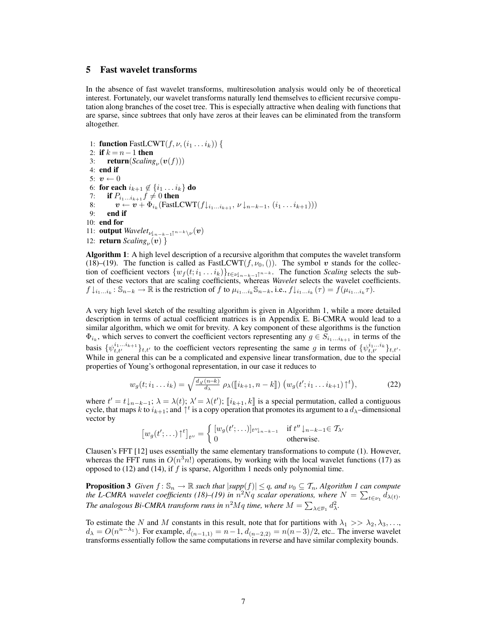# 5 Fast wavelet transforms

In the absence of fast wavelet transforms, multiresolution analysis would only be of theoretical interest. Fortunately, our wavelet transforms naturally lend themselves to efficient recursive computation along branches of the coset tree. This is especially attractive when dealing with functions that are sparse, since subtrees that only have zeros at their leaves can be eliminated from the transform altogether.

1: **function** FastLCWT $(f, \nu, (i_1 \ldots i_k))$  { 2: **if**  $k = n - 1$  then 3: **return**(*Scaling*<sub> $\nu$ </sub>( $\boldsymbol{v}(f)$ )) 4: end if 5:  $\boldsymbol{v} \leftarrow 0$ 6: for each  $i_{k+1} \notin \{i_1 \ldots i_k\}$  do 7: if  $P_{i_1...i_{k+1}}f \neq 0$  then 8:  $\bm{v} \leftarrow \bm{v} + \Phi_{i_k}(\text{FastLCWT}(f \downarrow_{i_1...i_{k+1}}, \nu \downarrow_{n-k-1}, (i_1...i_{k+1})))$ 9: end if 10: end for 11: **output**  $Wavelet_{\nu \downarrow_{n-k-1} \uparrow^{n-k} \setminus \nu}(v)$ 12: **return**  $Scaling_{\nu}(v)$  }

Algorithm 1: A high level description of a recursive algorithm that computes the wavelet transform (18)–(19). The function is called as FastLCWT $(f, \nu_0, ()$ ). The symbol v stands for the collection of coefficient vectors  $\{w_f(t; i_1 \dots i_k)\}_{t \in \nu \downarrow_{n-k-1} \uparrow^{n-k}}$ . The function *Scaling* selects the subset of these vectors that are scaling coefficients, whereas *Wavelet* selects the wavelet coefficients.  $f\downarrow_{i_1...i_k}: \mathbb{S}_{n-k} \to \mathbb{R}$  is the restriction of f to  $\mu_{i_1...i_k} \mathbb{S}_{n-k}$ , i.e.,  $f\downarrow_{i_1...i_k} (\tau) = f(\mu_{i_1...i_k} \tau)$ .

A very high level sketch of the resulting algorithm is given in Algorithm 1, while a more detailed description in terms of actual coefficient matrices is in Appendix E. Bi-CMRA would lead to a similar algorithm, which we omit for brevity. A key component of these algorithms is the function  $\Phi_{i_k}$ , which serves to convert the coefficient vectors representing any  $g \in S_{i_1...i_{k+1}}$  in terms of the basis  $\{\psi_{t,t'}^{i_1...i_{k+1}}\}_{t,t'}$  to the coefficient vectors representing the same g in terms of  $\{\psi_{t,t'}^{i_1...i_k}\}_{t,t'}$ . While in general this can be a complicated and expensive linear transformation, due to the special properties of Young's orthogonal representation, in our case it reduces to

$$
w_g(t; i_1 \dots i_k) = \sqrt{\frac{d_{\lambda'}(n-k)}{d_{\lambda}}} \rho_{\lambda}(\llbracket i_{k+1}, n-k \rrbracket) \left( w_g(t'; i_1 \dots i_{k+1}) \uparrow^t \right), \tag{22}
$$

where  $t' = t\downarrow_{n-k-1}$ ;  $\lambda = \lambda(t)$ ;  $\lambda' = \lambda(t')$ ;  $\llbracket i_{k+1}, k \rrbracket$  is a special permutation, called a contiguous cycle that maps k to i.e., and  $\uparrow t$  is a conveneration that promotes its argument to a dy-dimensional cycle, that maps k to  $i_{k+1}$ ; and  $\uparrow$  is a copy operation that promotes its argument to a  $d_{\lambda}$ -dimensional vector by

$$
\left[w_g(t';\ldots)\uparrow^t\right]_{t''} = \begin{cases} \left[w_g(t';\ldots)\right]_{t''\downarrow_{n-k-1}} & \text{if } t''\downarrow_{n-k-1} \in \mathcal{T}_{\lambda'}\\ 0 & \text{otherwise.} \end{cases}
$$

Clausen's FFT [12] uses essentially the same elementary transformations to compute (1). However, whereas the FFT runs in  $O(n^3n!)$  operations, by working with the local wavelet functions (17) as opposed to  $(12)$  and  $(14)$ , if f is sparse, Algorithm 1 needs only polynomial time.

**Proposition 3** *Given*  $f: \mathbb{S}_n \to \mathbb{R}$  *such that*  $|\text{supp}(f)| \leq q$ *, and*  $\nu_0 \subseteq \mathcal{T}_n$ *, Algorithm 1 can compute the* L-CMRA wavelet coefficients (18)–(19) in  $\hat{n}^2 N q$  scalar operations, where  $N = \sum_{t \in \nu_1} d_{\lambda(t)}$ . The analogous Bi-CMRA transform runs in  $n^2Mq$  time, where  $M = \sum_{\lambda \in \overline{\nu}_1} d_{\lambda}^2$ .

To estimate the N and M constants in this result, note that for partitions with  $\lambda_1 >> \lambda_2, \lambda_3, \ldots$  $d_{\lambda} = O(n^{n-\lambda_1})$ . For example,  $d_{(n-1,1)} = n-1$ ,  $d_{(n-2,2)} = n(n-3)/2$ , etc.. The inverse wavelet transforms essentially follow the same computations in reverse and have similar complexity bounds.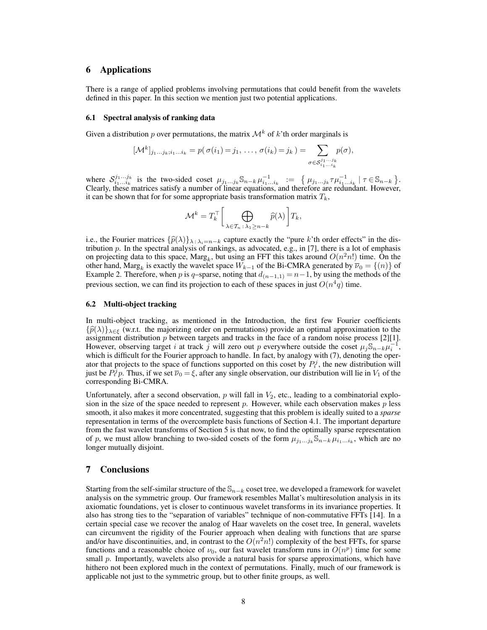# 6 Applications

There is a range of applied problems involving permutations that could benefit from the wavelets defined in this paper. In this section we mention just two potential applications.

#### 6.1 Spectral analysis of ranking data

Given a distribution p over permutations, the matrix  $\mathcal{M}^k$  of k'th order marginals is

$$
[\mathcal{M}^k]_{j_1\ldots j_k;i_1\ldots i_k}=p(\sigma(i_1)=j_1,\ldots,\sigma(i_k)=j_k)=\sum_{\sigma\in\mathcal{S}_{i_1\ldots i_k}^{j_1\ldots j_k}}p(\sigma),
$$

where  $S_{i_1...i_k}^{j_1...j_k}$  is the two-sided coset  $\mu_{j_1...j_k} \mathbb{S}_{n-k} \mu_{i_1...i_k}^{-1} := \{ \mu_{j_1...j_k} \tau \mu_{i_1...i_k}^{-1} \mid \tau \in \mathbb{S}_{n-k} \}.$ Clearly, these matrices satisfy a number of linear equations, and therefore are redundant. However, it can be shown that for for some appropriate basis transformation matrix  $T_k$ ,

$$
\mathcal{M}^k = T_k^{\top} \bigg[ \bigoplus_{\lambda \in \mathcal{T}_n \,:\, \lambda_1 \ge n-k} \widehat{p}(\lambda) \bigg] T_k,
$$

i.e., the Fourier matrices  $\{\hat{p}(\lambda)\}_{\lambda \in \lambda_i=n-k}$  capture exactly the "pure k'th order effects" in the distribution p. In the spectral analysis of rankings, as advocated, e.g., in [7], there is a lot of emphasis on projecting data to this space,  $\text{Marg}_k$ , but using an FFT this takes around  $O(n^2n!)$  time. On the other hand, Marg<sub>k</sub> is exactly the wavelet space  $W_{k-1}$  of the Bi-CMRA generated by  $\overline{\nu}_0 = \{(n)\}$  of Example 2. Therefore, when p is q-sparse, noting that  $d_{(n-1,1)} = n-1$ , by using the methods of the previous section, we can find its projection to each of these spaces in just  $O(n^4q)$  time.

#### 6.2 Multi-object tracking

In multi-object tracking, as mentioned in the Introduction, the first few Fourier coefficients  ${\{\hat{p}(\lambda)\}}_{\lambda \in \mathcal{E}}$  (w.r.t. the majorizing order on permutations) provide an optimal approximation to the assignment distribution  $p$  between targets and tracks in the face of a random noise process [2][1]. However, observing target i at track j will zero out p everywhere outside the coset  $\mu_j \mathbb{S}_{n-k} \mu_i^{-1}$ , which is difficult for the Fourier approach to handle. In fact, by analogy with (7), denoting the operator that projects to the space of functions supported on this coset by  $P_i^j$ , the new distribution will just be  $P_i^j p$ . Thus, if we set  $\overline{\nu}_0 = \xi$ , after any single observation, our distribution will lie in  $V_1$  of the corresponding Bi-CMRA.

Unfortunately, after a second observation,  $p$  will fall in  $V_2$ , etc., leading to a combinatorial explosion in the size of the space needed to represent  $p$ . However, while each observation makes  $p$  less smooth, it also makes it more concentrated, suggesting that this problem is ideally suited to a *sparse* representation in terms of the overcomplete basis functions of Section 4.1. The important departure from the fast wavelet transforms of Section 5 is that now, to find the optimally sparse representation of p, we must allow branching to two-sided cosets of the form  $\mu_{j_1...j_k} \mathbb{S}_{n-k} \mu_{i_1...i_k}$ , which are no longer mutually disjoint.

## 7 Conclusions

Starting from the self-similar structure of the  $\mathbb{S}_{n-k}$  coset tree, we developed a framework for wavelet analysis on the symmetric group. Our framework resembles Mallat's multiresolution analysis in its axiomatic foundations, yet is closer to continuous wavelet transforms in its invariance properties. It also has strong ties to the "separation of variables" technique of non-commutative FFTs [14]. In a certain special case we recover the analog of Haar wavelets on the coset tree, In general, wavelets can circumvent the rigidity of the Fourier approach when dealing with functions that are sparse and/or have discontinuities, and, in contrast to the  $O(n^2n!)$  complexity of the best FFTs, for sparse functions and a reasonable choice of  $\nu_0$ , our fast wavelet transform runs in  $O(n^p)$  time for some small  $p$ . Importantly, wavelets also provide a natural basis for sparse approximations, which have hithero not been explored much in the context of permutations. Finally, much of our framework is applicable not just to the symmetric group, but to other finite groups, as well.